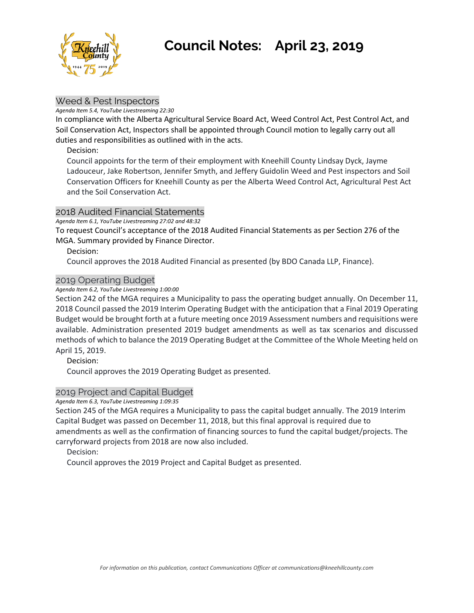

# **Council Notes: April 23, 2019**

# Weed & Pest Inspectors

#### *Agenda Item 5.4, YouTube Livestreaming 22:30*

In compliance with the Alberta Agricultural Service Board Act, Weed Control Act, Pest Control Act, and Soil Conservation Act, Inspectors shall be appointed through Council motion to legally carry out all duties and responsibilities as outlined with in the acts.

# Decision:

Council appoints for the term of their employment with Kneehill County Lindsay Dyck, Jayme Ladouceur, Jake Robertson, Jennifer Smyth, and Jeffery Guidolin Weed and Pest inspectors and Soil Conservation Officers for Kneehill County as per the Alberta Weed Control Act, Agricultural Pest Act and the Soil Conservation Act.

# 2018 Audited Financial Statements

*Agenda Item 6.1, YouTube Livestreaming 27:02 and 48:32*

To request Council's acceptance of the 2018 Audited Financial Statements as per Section 276 of the MGA. Summary provided by Finance Director.

Decision:

Council approves the 2018 Audited Financial as presented (by BDO Canada LLP, Finance).

# 2019 Operating Budget

*Agenda Item 6.2, YouTube Livestreaming 1:00:00*

Section 242 of the MGA requires a Municipality to pass the operating budget annually. On December 11, 2018 Council passed the 2019 Interim Operating Budget with the anticipation that a Final 2019 Operating Budget would be brought forth at a future meeting once 2019 Assessment numbers and requisitions were available. Administration presented 2019 budget amendments as well as tax scenarios and discussed methods of which to balance the 2019 Operating Budget at the Committee of the Whole Meeting held on April 15, 2019.

Decision:

Council approves the 2019 Operating Budget as presented.

# 2019 Project and Capital Budget

*Agenda Item 6.3, YouTube Livestreaming 1:09:35*

Section 245 of the MGA requires a Municipality to pass the capital budget annually. The 2019 Interim Capital Budget was passed on December 11, 2018, but this final approval is required due to amendments as well as the confirmation of financing sources to fund the capital budget/projects. The carryforward projects from 2018 are now also included.

Decision:

Council approves the 2019 Project and Capital Budget as presented.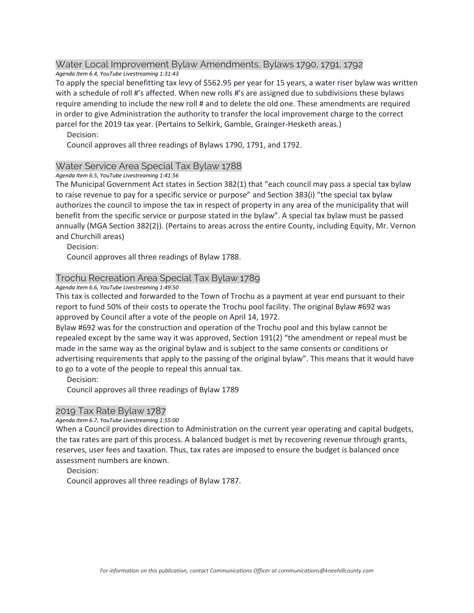#### Water Local Improvement Bylaw Amendments, Bylaws 1790, 1791, 1792 *Agenda Item 6.4, YouTube Livestreaming 1:31:43*

To apply the special benefitting tax levy of \$562.95 per year for 15 years, a water riser bylaw was written with a schedule of roll #'s affected. When new rolls #'s are assigned due to subdivisions these bylaws require amending to include the new roll # and to delete the old one. These amendments are required in order to give Administration the authority to transfer the local improvement charge to the correct parcel for the 2019 tax year. (Pertains to Selkirk, Gamble, Grainger-Hesketh areas.)

Decision:

Council approves all three readings of Bylaws 1790, 1791, and 1792.

## Water Service Area Special Tax Bylaw 1788

#### *Agenda Item 6.5, YouTube Livestreaming 1:41:56*

The Municipal Government Act states in Section 382(1) that "each council may pass a special tax bylaw to raise revenue to pay for a specific service or purpose" and Section 383(i) "the special tax bylaw authorizes the council to impose the tax in respect of property in any area of the municipality that will benefit from the specific service or purpose stated in the bylaw". A special tax bylaw must be passed annually (MGA Section 382(2)). (Pertains to areas across the entire County, including Equity, Mr. Vernon and Churchill areas)

Decision:

Council approves all three readings of Bylaw 1788.

## Trochu Recreation Area Special Tax Bylaw 1789

*Agenda Item 6.6, YouTube Livestreaming 1:49:50*

This tax is collected and forwarded to the Town of Trochu as a payment at year end pursuant to their report to fund 50% of their costs to operate the Trochu pool facility. The original Bylaw #692 was approved by Council after a vote of the people on April 14, 1972.

Bylaw #692 was for the construction and operation of the Trochu pool and this bylaw cannot be repealed except by the same way it was approved, Section 191(2) "the amendment or repeal must be made in the same way as the original bylaw and is subject to the same consents or conditions or advertising requirements that apply to the passing of the original bylaw". This means that it would have to go to a vote of the people to repeal this annual tax.

Decision:

Council approves all three readings of Bylaw 1789

#### 2019 Tax Rate Bylaw 1787

#### *Agenda Item 6.7, YouTube Livestreaming 1:55:00*

When a Council provides direction to Administration on the current year operating and capital budgets, the tax rates are part of this process. A balanced budget is met by recovering revenue through grants, reserves, user fees and taxation. Thus, tax rates are imposed to ensure the budget is balanced once assessment numbers are known.

Decision:

Council approves all three readings of Bylaw 1787.